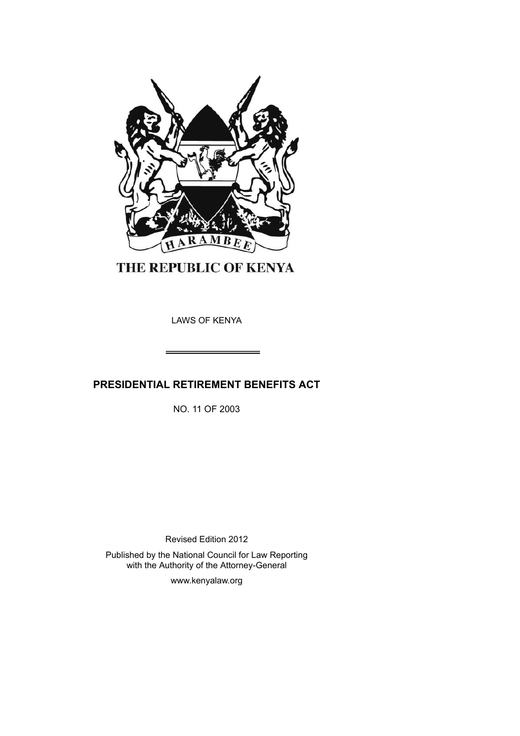

THE REPUBLIC OF KENYA

LAWS OF KENYA

# **PRESIDENTIAL RETIREMENT BENEFITS ACT**

NO. 11 OF 2003

Revised Edition 2012

Published by the National Council for Law Reporting with the Authority of the Attorney-General

www.kenyalaw.org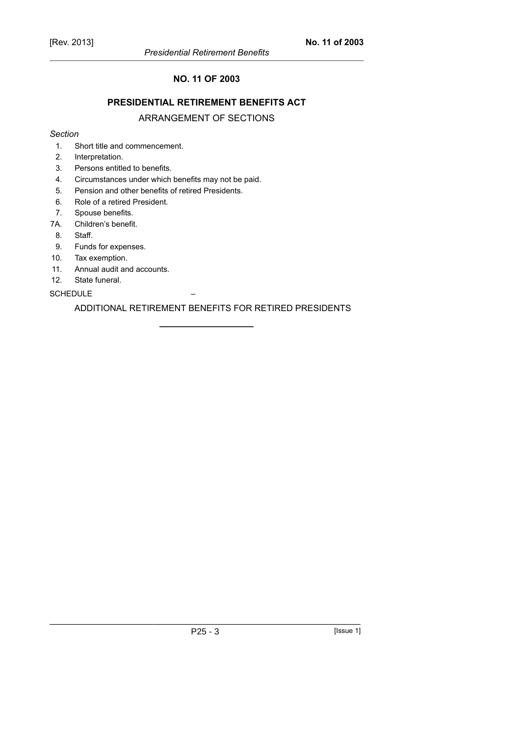### **NO. 11 OF 2003**

### **PRESIDENTIAL RETIREMENT BENEFITS ACT**

### ARRANGEMENT OF SECTIONS

#### *Section*

- 1. Short title and commencement.
- 2. Interpretation.
- 3. Persons entitled to benefits.
- 4. Circumstances under which benefits may not be paid.
- 5. Pension and other benefits of retired Presidents.
- 6. Role of a retired President.
- 7. Spouse benefits.
- 7A. Children's benefit.
- 8. Staff.
- 9. Funds for expenses.
- 10. Tax exemption.
- 11. Annual audit and accounts.
- 12. State funeral.

#### **SCHEDULE**

ADDITIONAL RETIREMENT BENEFITS FOR RETIRED PRESIDENTS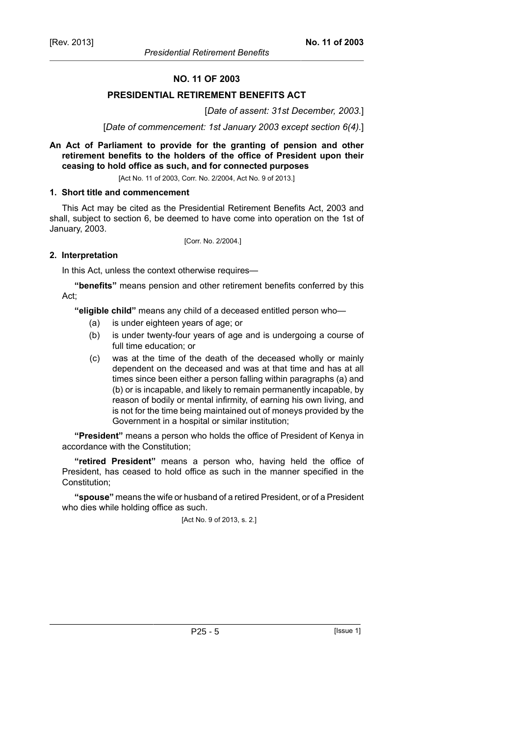#### **NO. 11 OF 2003**

#### **PRESIDENTIAL RETIREMENT BENEFITS ACT**

#### [*Date of assent: 31st December, 2003.*]

[*Date of commencement: 1st January 2003 except section 6(4).*]

#### **An Act of Parliament to provide for the granting of pension and other retirement benefits to the holders of the office of President upon their ceasing to hold office as such, and for connected purposes**

[Act No. 11 of 2003, Corr. No. 2/2004, Act No. 9 of 2013.]

#### **1. Short title and commencement**

This Act may be cited as the Presidential Retirement Benefits Act, 2003 and shall, subject to section 6, be deemed to have come into operation on the 1st of January, 2003.

[Corr. No. 2/2004.]

#### **2. Interpretation**

In this Act, unless the context otherwise requires—

**"benefits"** means pension and other retirement benefits conferred by this Act;

**"eligible child"** means any child of a deceased entitled person who—

- (a) is under eighteen years of age; or
- (b) is under twenty-four years of age and is undergoing a course of full time education; or
- (c) was at the time of the death of the deceased wholly or mainly dependent on the deceased and was at that time and has at all times since been either a person falling within paragraphs (a) and (b) or is incapable, and likely to remain permanently incapable, by reason of bodily or mental infirmity, of earning his own living, and is not for the time being maintained out of moneys provided by the Government in a hospital or similar institution;

**"President"** means a person who holds the office of President of Kenya in accordance with the Constitution;

**"retired President"** means a person who, having held the office of President, has ceased to hold office as such in the manner specified in the Constitution;

**"spouse"** means the wife or husband of a retired President, or of a President who dies while holding office as such.

[Act No. 9 of 2013, s. 2.]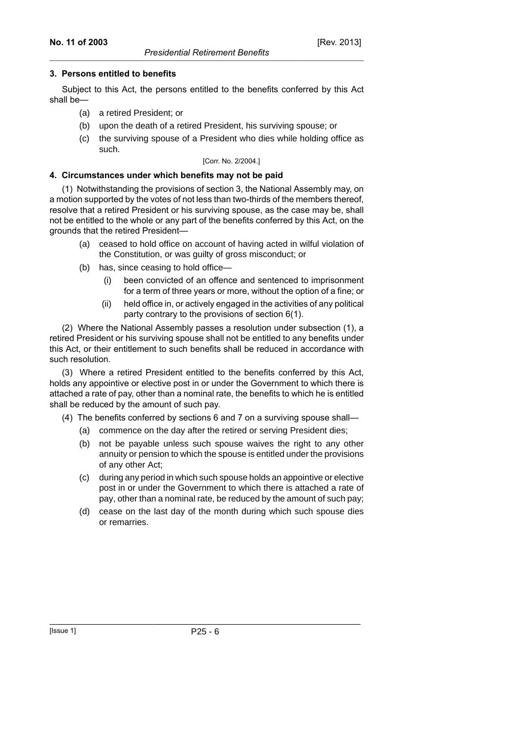### **3. Persons entitled to benefits**

Subject to this Act, the persons entitled to the benefits conferred by this Act shall be—

- (a) a retired President; or
- (b) upon the death of a retired President, his surviving spouse; or
- (c) the surviving spouse of a President who dies while holding office as such.

#### [Corr. No. 2/2004.]

### **4. Circumstances under which benefits may not be paid**

(1) Notwithstanding the provisions of section 3, the National Assembly may, on a motion supported by the votes of not less than two-thirds of the members thereof, resolve that a retired President or his surviving spouse, as the case may be, shall not be entitled to the whole or any part of the benefits conferred by this Act, on the grounds that the retired President—

- (a) ceased to hold office on account of having acted in wilful violation of the Constitution, or was guilty of gross misconduct; or
- (b) has, since ceasing to hold office—
	- (i) been convicted of an offence and sentenced to imprisonment for a term of three years or more, without the option of a fine; or
	- (ii) held office in, or actively engaged in the activities of any political party contrary to the provisions of section 6(1).

(2) Where the National Assembly passes a resolution under subsection (1), a retired President or his surviving spouse shall not be entitled to any benefits under this Act, or their entitlement to such benefits shall be reduced in accordance with such resolution.

(3) Where a retired President entitled to the benefits conferred by this Act, holds any appointive or elective post in or under the Government to which there is attached a rate of pay, other than a nominal rate, the benefits to which he is entitled shall be reduced by the amount of such pay.

(4) The benefits conferred by sections 6 and 7 on a surviving spouse shall—

- (a) commence on the day after the retired or serving President dies;
- (b) not be payable unless such spouse waives the right to any other annuity or pension to which the spouse is entitled under the provisions of any other Act;
- (c) during any period in which such spouse holds an appointive or elective post in or under the Government to which there is attached a rate of pay, other than a nominal rate, be reduced by the amount of such pay;
- (d) cease on the last day of the month during which such spouse dies or remarries.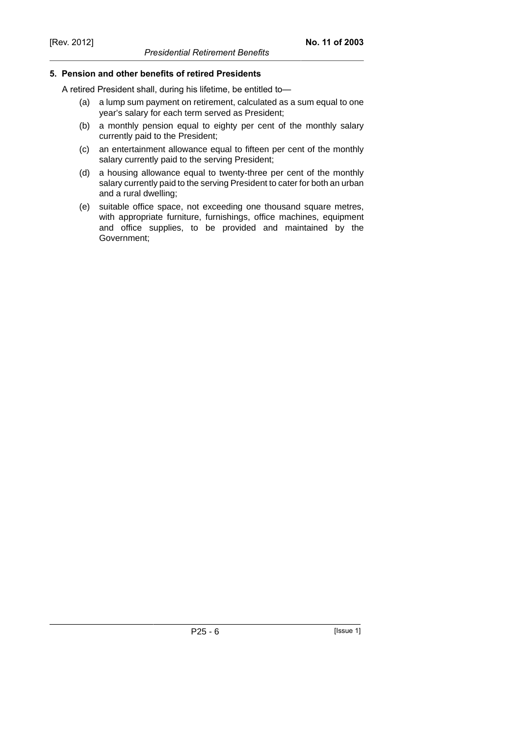### **5. Pension and other benefits of retired Presidents**

A retired President shall, during his lifetime, be entitled to—

- (a) a lump sum payment on retirement, calculated as a sum equal to one year's salary for each term served as President;
- (b) a monthly pension equal to eighty per cent of the monthly salary currently paid to the President;
- (c) an entertainment allowance equal to fifteen per cent of the monthly salary currently paid to the serving President;
- (d) a housing allowance equal to twenty-three per cent of the monthly salary currently paid to the serving President to cater for both an urban and a rural dwelling;
- (e) suitable office space, not exceeding one thousand square metres, with appropriate furniture, furnishings, office machines, equipment and office supplies, to be provided and maintained by the Government;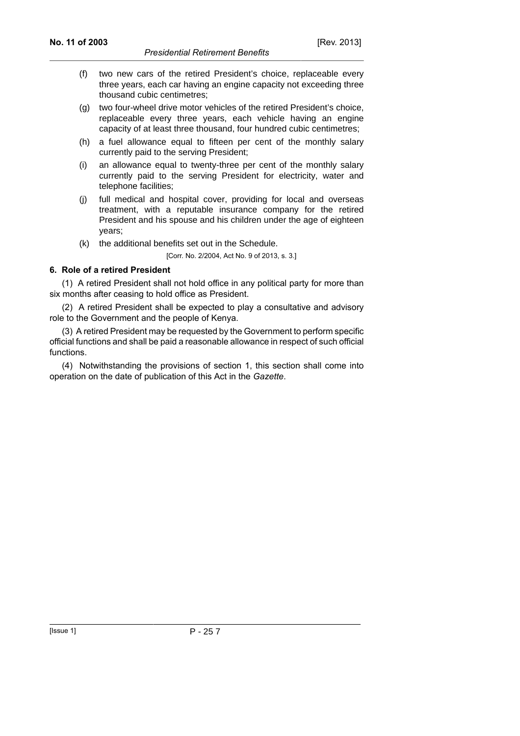- (f) two new cars of the retired President's choice, replaceable every three years, each car having an engine capacity not exceeding three thousand cubic centimetres;
- (g) two four-wheel drive motor vehicles of the retired President's choice, replaceable every three years, each vehicle having an engine capacity of at least three thousand, four hundred cubic centimetres;
- (h) a fuel allowance equal to fifteen per cent of the monthly salary currently paid to the serving President;
- (i) an allowance equal to twenty-three per cent of the monthly salary currently paid to the serving President for electricity, water and telephone facilities;
- (j) full medical and hospital cover, providing for local and overseas treatment, with a reputable insurance company for the retired President and his spouse and his children under the age of eighteen years;
- (k) the additional benefits set out in the Schedule.

[Corr. No. 2/2004, Act No. 9 of 2013, s. 3.]

#### **6. Role of a retired President**

(1) A retired President shall not hold office in any political party for more than six months after ceasing to hold office as President.

(2) A retired President shall be expected to play a consultative and advisory role to the Government and the people of Kenya.

(3) A retired President may be requested by the Government to perform specific official functions and shall be paid a reasonable allowance in respect of such official functions.

(4) Notwithstanding the provisions of section 1, this section shall come into operation on the date of publication of this Act in the *Gazette*.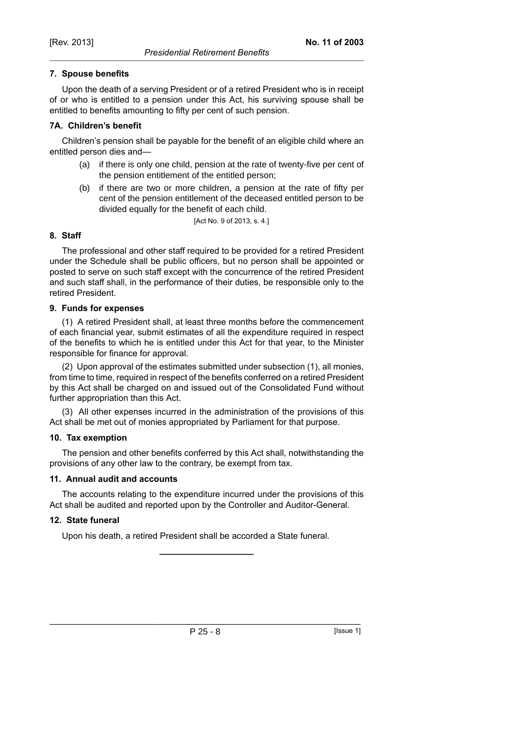Upon the death of a serving President or of a retired President who is in receipt of or who is entitled to a pension under this Act, his surviving spouse shall be entitled to benefits amounting to fifty per cent of such pension.

## **7A. Children's benefit**

Children's pension shall be payable for the benefit of an eligible child where an entitled person dies and—

- (a) if there is only one child, pension at the rate of twenty-five per cent of the pension entitlement of the entitled person;
- (b) if there are two or more children, a pension at the rate of fifty per cent of the pension entitlement of the deceased entitled person to be divided equally for the benefit of each child.

[Act No. 9 of 2013, s. 4.]

## **8. Staff**

The professional and other staff required to be provided for a retired President under the Schedule shall be public officers, but no person shall be appointed or posted to serve on such staff except with the concurrence of the retired President and such staff shall, in the performance of their duties, be responsible only to the retired President.

## **9. Funds for expenses**

(1) A retired President shall, at least three months before the commencement of each financial year, submit estimates of all the expenditure required in respect of the benefits to which he is entitled under this Act for that year, to the Minister responsible for finance for approval.

(2) Upon approval of the estimates submitted under subsection (1), all monies, from time to time, required in respect of the benefits conferred on a retired President by this Act shall be charged on and issued out of the Consolidated Fund without further appropriation than this Act.

(3) All other expenses incurred in the administration of the provisions of this Act shall be met out of monies appropriated by Parliament for that purpose.

## **10. Tax exemption**

The pension and other benefits conferred by this Act shall, notwithstanding the provisions of any other law to the contrary, be exempt from tax.

## **11. Annual audit and accounts**

The accounts relating to the expenditure incurred under the provisions of this Act shall be audited and reported upon by the Controller and Auditor-General.

## **12. State funeral**

Upon his death, a retired President shall be accorded a State funeral.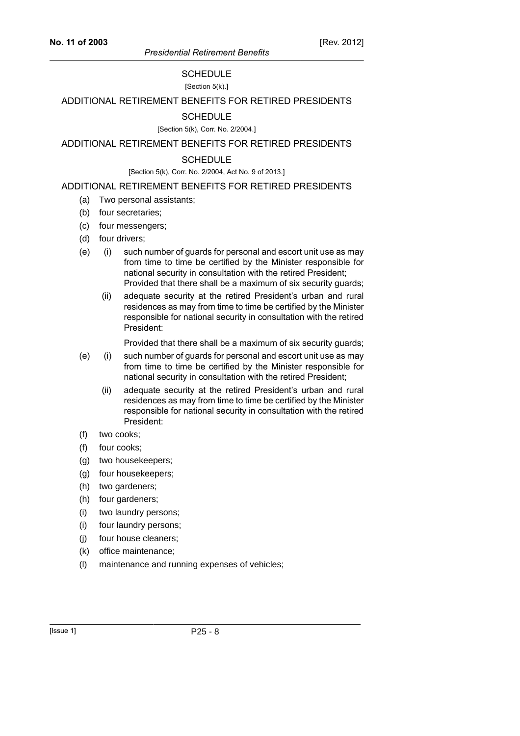## SCHEDULE

[Section 5(k).]

ADDITIONAL RETIREMENT BENEFITS FOR RETIRED PRESIDENTS

### **SCHEDULE**

[Section 5(k), Corr. No. 2/2004.]

ADDITIONAL RETIREMENT BENEFITS FOR RETIRED PRESIDENTS

#### **SCHEDULE**

#### [Section 5(k), Corr. No. 2/2004, Act No. 9 of 2013.]

#### ADDITIONAL RETIREMENT BENEFITS FOR RETIRED PRESIDENTS

- (a) Two personal assistants;
- (b) four secretaries;
- (c) four messengers;
- (d) four drivers;
- (e) (i) such number of guards for personal and escort unit use as may from time to time be certified by the Minister responsible for national security in consultation with the retired President; Provided that there shall be a maximum of six security guards;
	- (ii) adequate security at the retired President's urban and rural residences as may from time to time be certified by the Minister responsible for national security in consultation with the retired President:

Provided that there shall be a maximum of six security guards;

- (e) (i) such number of guards for personal and escort unit use as may from time to time be certified by the Minister responsible for national security in consultation with the retired President;
	- (ii) adequate security at the retired President's urban and rural residences as may from time to time be certified by the Minister responsible for national security in consultation with the retired President:
- (f) two cooks;
- (f) four cooks;
- (g) two housekeepers;
- (g) four housekeepers;
- (h) two gardeners;
- (h) four gardeners;
- (i) two laundry persons;
- (i) four laundry persons;
- (j) four house cleaners;
- (k) office maintenance;
- (l) maintenance and running expenses of vehicles;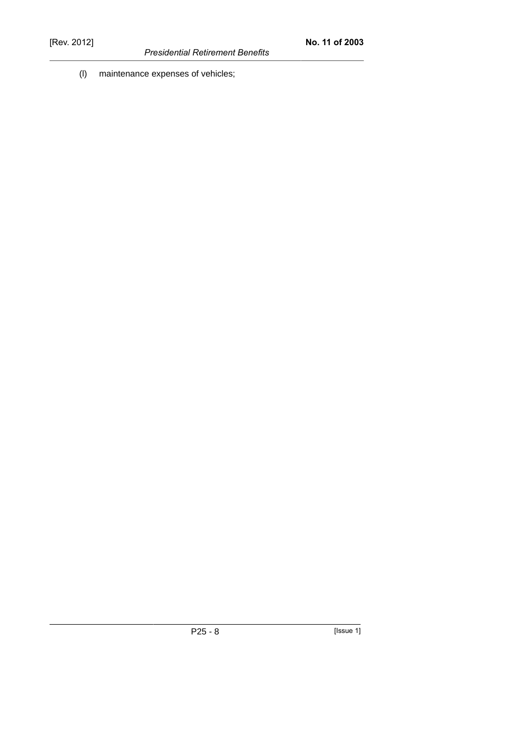*Presidential Retirement Benefits*

(l) maintenance expenses of vehicles;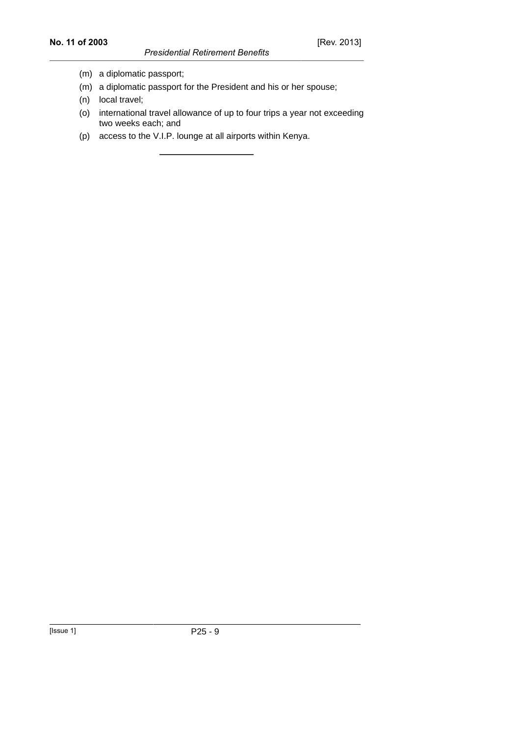### *Presidential Retirement Benefits*

- (m) a diplomatic passport;
- (m) a diplomatic passport for the President and his or her spouse;
- (n) local travel;
- (o) international travel allowance of up to four trips a year not exceeding two weeks each; and
- (p) access to the V.I.P. lounge at all airports within Kenya.